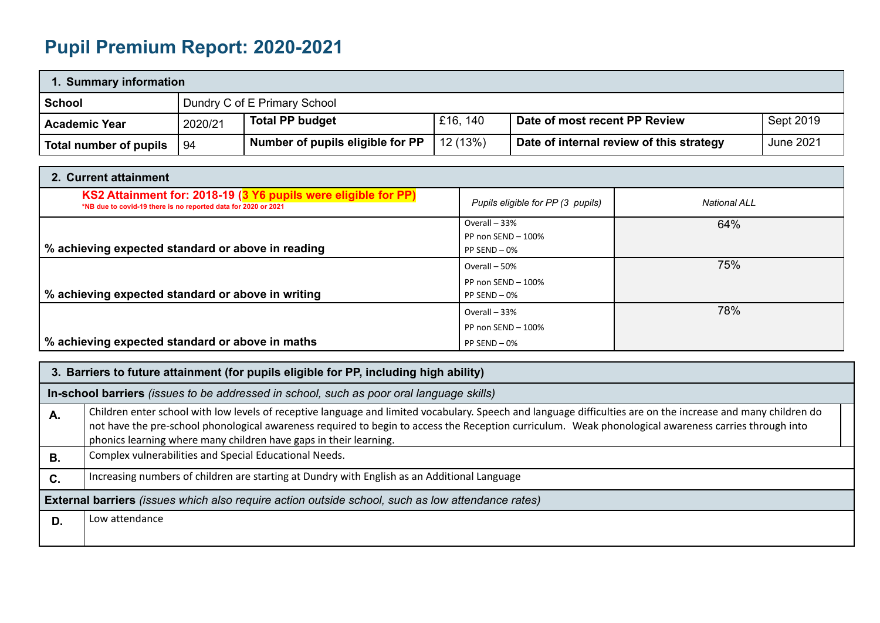## **Pupil Premium Report: 2020-2021**

| 1. Summary information |                                                                                             |                                  |          |                                          |           |  |  |  |
|------------------------|---------------------------------------------------------------------------------------------|----------------------------------|----------|------------------------------------------|-----------|--|--|--|
| <b>School</b>          |                                                                                             | Dundry C of E Primary School     |          |                                          |           |  |  |  |
| <b>Academic Year</b>   | E16, 140<br>Sept 2019<br><b>Total PP budget</b><br>Date of most recent PP Review<br>2020/21 |                                  |          |                                          |           |  |  |  |
| Total number of pupils | l 94                                                                                        | Number of pupils eligible for PP | 12 (13%) | Date of internal review of this strategy | June 2021 |  |  |  |

| 2. Current attainment                                                                                                            |                                   |              |
|----------------------------------------------------------------------------------------------------------------------------------|-----------------------------------|--------------|
| KS2 Attainment for: 2018-19 (3 Y6 pupils were eligible for PP)<br>*NB due to covid-19 there is no reported data for 2020 or 2021 | Pupils eligible for PP (3 pupils) | National ALL |
|                                                                                                                                  | Overall - 33%                     | 64%          |
|                                                                                                                                  | PP non SEND - 100%                |              |
| % achieving expected standard or above in reading                                                                                | $PP$ SEND $-0\%$                  |              |
|                                                                                                                                  | Overall - 50%                     | 75%          |
|                                                                                                                                  | PP non SEND $-100\%$              |              |
| % achieving expected standard or above in writing                                                                                | PP SEND - 0%                      |              |
|                                                                                                                                  | Overall - 33%                     | 78%          |
|                                                                                                                                  | PP non SEND - 100%                |              |
| % achieving expected standard or above in maths                                                                                  | $PP$ SEND $-0\%$                  |              |

|           | 3. Barriers to future attainment (for pupils eligible for PP, including high ability)                                                                                                                                                                                                                                                                                                       |  |  |  |  |  |
|-----------|---------------------------------------------------------------------------------------------------------------------------------------------------------------------------------------------------------------------------------------------------------------------------------------------------------------------------------------------------------------------------------------------|--|--|--|--|--|
|           | In-school barriers (issues to be addressed in school, such as poor oral language skills)                                                                                                                                                                                                                                                                                                    |  |  |  |  |  |
| Α.        | Children enter school with low levels of receptive language and limited vocabulary. Speech and language difficulties are on the increase and many children do<br>not have the pre-school phonological awareness required to begin to access the Reception curriculum. Weak phonological awareness carries through into<br>phonics learning where many children have gaps in their learning. |  |  |  |  |  |
| <b>B.</b> | Complex vulnerabilities and Special Educational Needs.                                                                                                                                                                                                                                                                                                                                      |  |  |  |  |  |
| C.        | Increasing numbers of children are starting at Dundry with English as an Additional Language                                                                                                                                                                                                                                                                                                |  |  |  |  |  |
|           | <b>External barriers</b> (issues which also require action outside school, such as low attendance rates)                                                                                                                                                                                                                                                                                    |  |  |  |  |  |
| D.        | Low attendance                                                                                                                                                                                                                                                                                                                                                                              |  |  |  |  |  |
|           |                                                                                                                                                                                                                                                                                                                                                                                             |  |  |  |  |  |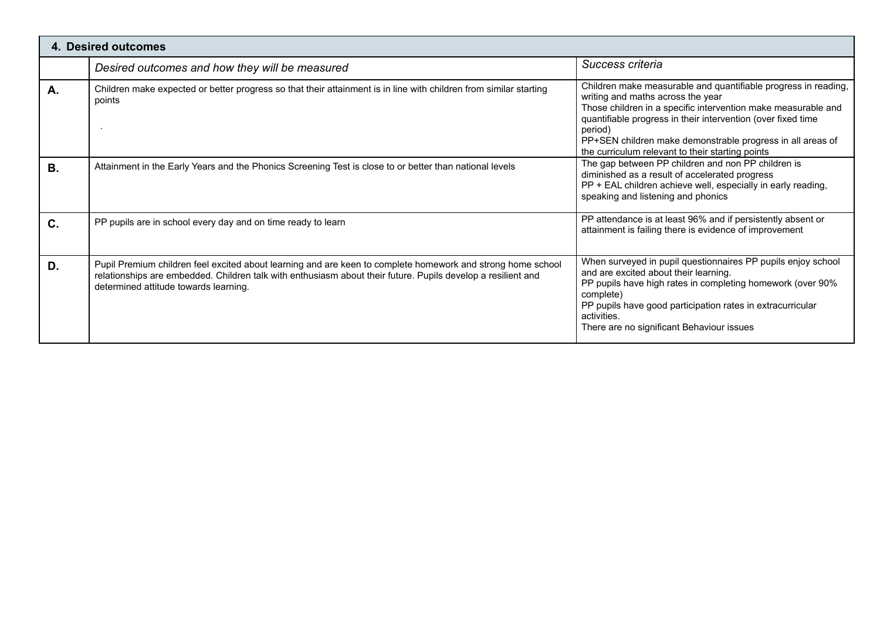| <b>4. Desired outcomes</b> |                                                                                                                                                                                                                                                                      |                                                                                                                                                                                                                                                                                                                                                                   |  |  |  |  |  |
|----------------------------|----------------------------------------------------------------------------------------------------------------------------------------------------------------------------------------------------------------------------------------------------------------------|-------------------------------------------------------------------------------------------------------------------------------------------------------------------------------------------------------------------------------------------------------------------------------------------------------------------------------------------------------------------|--|--|--|--|--|
|                            | Desired outcomes and how they will be measured                                                                                                                                                                                                                       | Success criteria                                                                                                                                                                                                                                                                                                                                                  |  |  |  |  |  |
| Α.                         | Children make expected or better progress so that their attainment is in line with children from similar starting<br>points                                                                                                                                          | Children make measurable and quantifiable progress in reading,<br>writing and maths across the year<br>Those children in a specific intervention make measurable and<br>quantifiable progress in their intervention (over fixed time<br>period)<br>PP+SEN children make demonstrable progress in all areas of<br>the curriculum relevant to their starting points |  |  |  |  |  |
| <b>B.</b>                  | Attainment in the Early Years and the Phonics Screening Test is close to or better than national levels                                                                                                                                                              | The gap between PP children and non PP children is<br>diminished as a result of accelerated progress<br>PP + EAL children achieve well, especially in early reading,<br>speaking and listening and phonics                                                                                                                                                        |  |  |  |  |  |
| C.                         | PP pupils are in school every day and on time ready to learn                                                                                                                                                                                                         | PP attendance is at least 96% and if persistently absent or<br>attainment is failing there is evidence of improvement                                                                                                                                                                                                                                             |  |  |  |  |  |
| D.                         | Pupil Premium children feel excited about learning and are keen to complete homework and strong home school<br>relationships are embedded. Children talk with enthusiasm about their future. Pupils develop a resilient and<br>determined attitude towards learning. | When surveyed in pupil questionnaires PP pupils enjoy school<br>and are excited about their learning.<br>PP pupils have high rates in completing homework (over 90%<br>complete)<br>PP pupils have good participation rates in extracurricular<br>activities.<br>There are no significant Behaviour issues                                                        |  |  |  |  |  |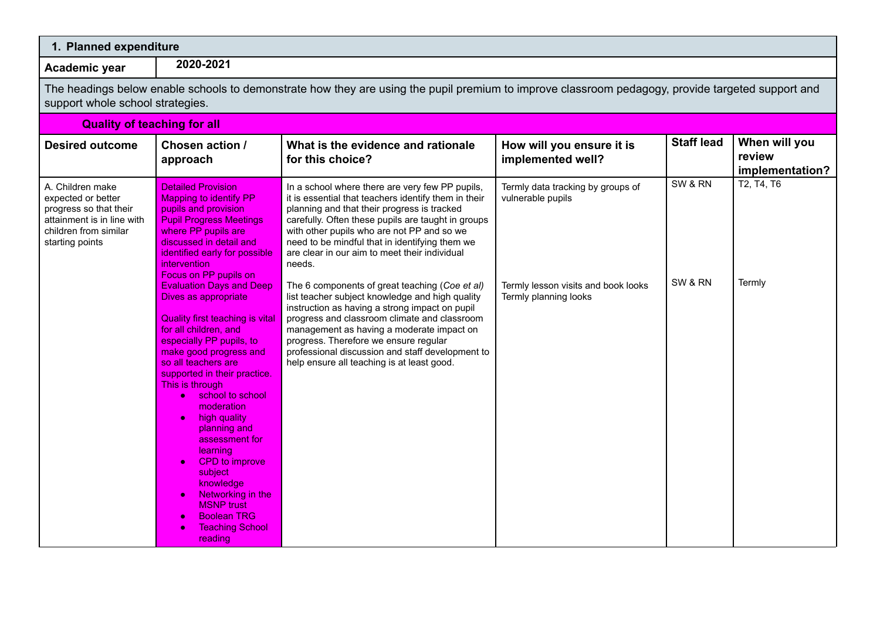| 1. Planned expenditure                                                                                                                     |                                                                                                                                                                                                                                                                                                                                                                                                                                                                                                                                                                                                                                                                                                                                                                                   |                                                                                                                                                                                                                                                                                                                                                                                                                                                                                                                                                                                                                                                                                                                                                                        |                                                                                                                        |                    |                                            |  |  |  |  |
|--------------------------------------------------------------------------------------------------------------------------------------------|-----------------------------------------------------------------------------------------------------------------------------------------------------------------------------------------------------------------------------------------------------------------------------------------------------------------------------------------------------------------------------------------------------------------------------------------------------------------------------------------------------------------------------------------------------------------------------------------------------------------------------------------------------------------------------------------------------------------------------------------------------------------------------------|------------------------------------------------------------------------------------------------------------------------------------------------------------------------------------------------------------------------------------------------------------------------------------------------------------------------------------------------------------------------------------------------------------------------------------------------------------------------------------------------------------------------------------------------------------------------------------------------------------------------------------------------------------------------------------------------------------------------------------------------------------------------|------------------------------------------------------------------------------------------------------------------------|--------------------|--------------------------------------------|--|--|--|--|
| Academic year                                                                                                                              | 2020-2021                                                                                                                                                                                                                                                                                                                                                                                                                                                                                                                                                                                                                                                                                                                                                                         |                                                                                                                                                                                                                                                                                                                                                                                                                                                                                                                                                                                                                                                                                                                                                                        |                                                                                                                        |                    |                                            |  |  |  |  |
|                                                                                                                                            | The headings below enable schools to demonstrate how they are using the pupil premium to improve classroom pedagogy, provide targeted support and<br>support whole school strategies.                                                                                                                                                                                                                                                                                                                                                                                                                                                                                                                                                                                             |                                                                                                                                                                                                                                                                                                                                                                                                                                                                                                                                                                                                                                                                                                                                                                        |                                                                                                                        |                    |                                            |  |  |  |  |
| <b>Quality of teaching for all</b>                                                                                                         |                                                                                                                                                                                                                                                                                                                                                                                                                                                                                                                                                                                                                                                                                                                                                                                   |                                                                                                                                                                                                                                                                                                                                                                                                                                                                                                                                                                                                                                                                                                                                                                        |                                                                                                                        |                    |                                            |  |  |  |  |
| <b>Desired outcome</b>                                                                                                                     | Chosen action /<br>approach                                                                                                                                                                                                                                                                                                                                                                                                                                                                                                                                                                                                                                                                                                                                                       | What is the evidence and rationale<br>for this choice?                                                                                                                                                                                                                                                                                                                                                                                                                                                                                                                                                                                                                                                                                                                 | How will you ensure it is<br>implemented well?                                                                         | <b>Staff lead</b>  | When will you<br>review<br>implementation? |  |  |  |  |
| A. Children make<br>expected or better<br>progress so that their<br>attainment is in line with<br>children from similar<br>starting points | <b>Detailed Provision</b><br><b>Mapping to identify PP</b><br>pupils and provision<br><b>Pupil Progress Meetings</b><br>where PP pupils are<br>discussed in detail and<br>identified early for possible<br><i>intervention</i><br>Focus on PP pupils on<br><b>Evaluation Days and Deep</b><br>Dives as appropriate<br><b>Quality first teaching is vital</b><br>for all children, and<br>especially PP pupils, to<br>make good progress and<br>so all teachers are<br>supported in their practice.<br>This is through<br>school to school<br>moderation<br>high quality<br>$\bullet$<br>planning and<br>assessment for<br>learning<br>CPD to improve<br>subject<br>knowledge<br>Networking in the<br><b>MSNP</b> trust<br><b>Boolean TRG</b><br><b>Teaching School</b><br>reading | In a school where there are very few PP pupils,<br>it is essential that teachers identify them in their<br>planning and that their progress is tracked<br>carefully. Often these pupils are taught in groups<br>with other pupils who are not PP and so we<br>need to be mindful that in identifying them we<br>are clear in our aim to meet their individual<br>needs.<br>The 6 components of great teaching (Coe et al)<br>list teacher subject knowledge and high quality<br>instruction as having a strong impact on pupil<br>progress and classroom climate and classroom<br>management as having a moderate impact on<br>progress. Therefore we ensure regular<br>professional discussion and staff development to<br>help ensure all teaching is at least good. | Termly data tracking by groups of<br>vulnerable pupils<br>Termly lesson visits and book looks<br>Termly planning looks | SW & RN<br>SW & RN | T2, T4, T6<br>Termly                       |  |  |  |  |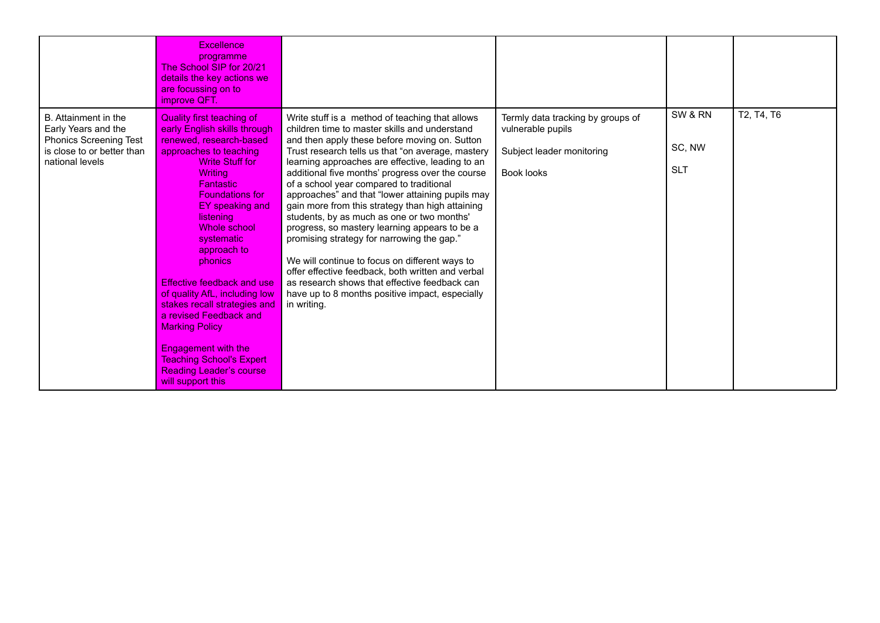|                                                                                                                               | Excellence<br>programme<br>The School SIP for 20/21<br>details the key actions we<br>are focussing on to<br>improve QFT.                                                                                                                                                                                                                                                                                                                                                                                                                                                   |                                                                                                                                                                                                                                                                                                                                                                                                                                                                                                                                                                                                                                                                                                                                                                                                                                           |                                                                                                   |                                 |            |
|-------------------------------------------------------------------------------------------------------------------------------|----------------------------------------------------------------------------------------------------------------------------------------------------------------------------------------------------------------------------------------------------------------------------------------------------------------------------------------------------------------------------------------------------------------------------------------------------------------------------------------------------------------------------------------------------------------------------|-------------------------------------------------------------------------------------------------------------------------------------------------------------------------------------------------------------------------------------------------------------------------------------------------------------------------------------------------------------------------------------------------------------------------------------------------------------------------------------------------------------------------------------------------------------------------------------------------------------------------------------------------------------------------------------------------------------------------------------------------------------------------------------------------------------------------------------------|---------------------------------------------------------------------------------------------------|---------------------------------|------------|
| B. Attainment in the<br>Early Years and the<br><b>Phonics Screening Test</b><br>is close to or better than<br>national levels | <b>Quality first teaching of</b><br>early English skills through<br>renewed, research-based<br>approaches to teaching<br>Write Stuff for<br><b>Writing</b><br><b>Fantastic</b><br><b>Foundations for</b><br>EY speaking and<br>listening<br>Whole school<br>systematic<br>approach to<br>phonics<br>Effective feedback and use<br>of quality AfL, including low<br>stakes recall strategies and<br>a revised Feedback and<br><b>Marking Policy</b><br><b>Engagement with the</b><br><b>Teaching School's Expert</b><br><b>Reading Leader's course</b><br>will support this | Write stuff is a method of teaching that allows<br>children time to master skills and understand<br>and then apply these before moving on. Sutton<br>Trust research tells us that "on average, mastery<br>learning approaches are effective, leading to an<br>additional five months' progress over the course<br>of a school year compared to traditional<br>approaches" and that "lower attaining pupils may<br>gain more from this strategy than high attaining<br>students, by as much as one or two months'<br>progress, so mastery learning appears to be a<br>promising strategy for narrowing the gap."<br>We will continue to focus on different ways to<br>offer effective feedback, both written and verbal<br>as research shows that effective feedback can<br>have up to 8 months positive impact, especially<br>in writing. | Termly data tracking by groups of<br>vulnerable pupils<br>Subject leader monitoring<br>Book looks | SW & RN<br>SC, NW<br><b>SLT</b> | T2, T4, T6 |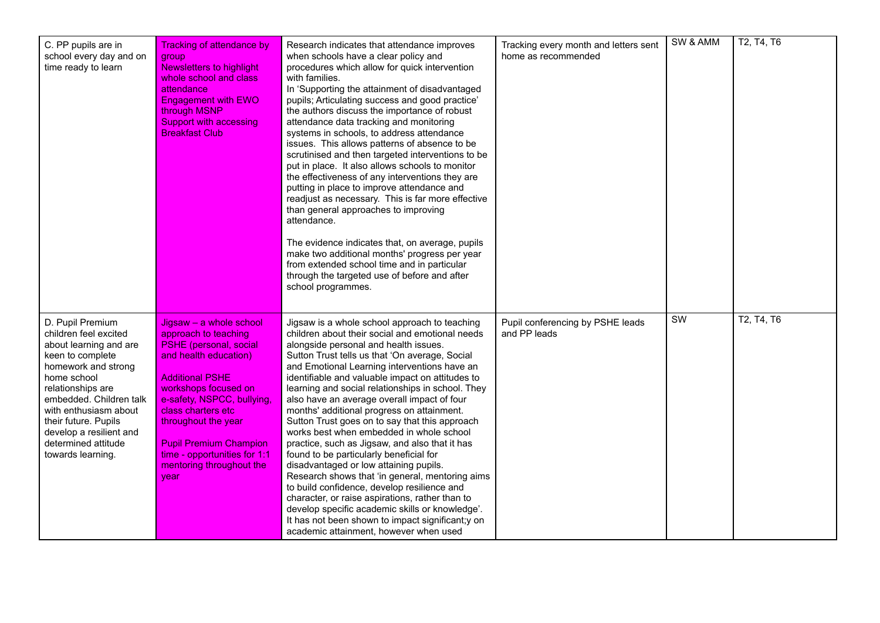| C. PP pupils are in<br>school every day and on<br>time ready to learn                                                                                                                                                                                                                                 | <b>Tracking of attendance by</b><br>group<br><b>Newsletters to highlight</b><br>whole school and class<br>attendance<br><b>Engagement with EWO</b><br>through MSNP<br><b>Support with accessing</b><br><b>Breakfast Club</b>                                                                                                                | Research indicates that attendance improves<br>when schools have a clear policy and<br>procedures which allow for quick intervention<br>with families.<br>In 'Supporting the attainment of disadvantaged<br>pupils; Articulating success and good practice'<br>the authors discuss the importance of robust<br>attendance data tracking and monitoring<br>systems in schools, to address attendance<br>issues. This allows patterns of absence to be<br>scrutinised and then targeted interventions to be<br>put in place. It also allows schools to monitor<br>the effectiveness of any interventions they are<br>putting in place to improve attendance and<br>readjust as necessary. This is far more effective<br>than general approaches to improving<br>attendance.<br>The evidence indicates that, on average, pupils<br>make two additional months' progress per year<br>from extended school time and in particular<br>through the targeted use of before and after<br>school programmes. | Tracking every month and letters sent<br>home as recommended | SW & AMM | T2, T4, T6 |
|-------------------------------------------------------------------------------------------------------------------------------------------------------------------------------------------------------------------------------------------------------------------------------------------------------|---------------------------------------------------------------------------------------------------------------------------------------------------------------------------------------------------------------------------------------------------------------------------------------------------------------------------------------------|----------------------------------------------------------------------------------------------------------------------------------------------------------------------------------------------------------------------------------------------------------------------------------------------------------------------------------------------------------------------------------------------------------------------------------------------------------------------------------------------------------------------------------------------------------------------------------------------------------------------------------------------------------------------------------------------------------------------------------------------------------------------------------------------------------------------------------------------------------------------------------------------------------------------------------------------------------------------------------------------------|--------------------------------------------------------------|----------|------------|
| D. Pupil Premium<br>children feel excited<br>about learning and are<br>keen to complete<br>homework and strong<br>home school<br>relationships are<br>embedded. Children talk<br>with enthusiasm about<br>their future. Pupils<br>develop a resilient and<br>determined attitude<br>towards learning. | Jigsaw - a whole school<br>approach to teaching<br><b>PSHE</b> (personal, social<br>and health education)<br><b>Additional PSHE</b><br>workshops focused on<br>e-safety, NSPCC, bullying,<br>class charters etc<br>throughout the year<br><b>Pupil Premium Champion</b><br>time - opportunities for 1:1<br>mentoring throughout the<br>vear | Jigsaw is a whole school approach to teaching<br>children about their social and emotional needs<br>alongside personal and health issues.<br>Sutton Trust tells us that 'On average, Social<br>and Emotional Learning interventions have an<br>identifiable and valuable impact on attitudes to<br>learning and social relationships in school. They<br>also have an average overall impact of four<br>months' additional progress on attainment.<br>Sutton Trust goes on to say that this approach<br>works best when embedded in whole school<br>practice, such as Jigsaw, and also that it has<br>found to be particularly beneficial for<br>disadvantaged or low attaining pupils.<br>Research shows that 'in general, mentoring aims<br>to build confidence, develop resilience and<br>character, or raise aspirations, rather than to<br>develop specific academic skills or knowledge'.<br>It has not been shown to impact significant; y on<br>academic attainment, however when used      | Pupil conferencing by PSHE leads<br>and PP leads             | SW       | T2, T4, T6 |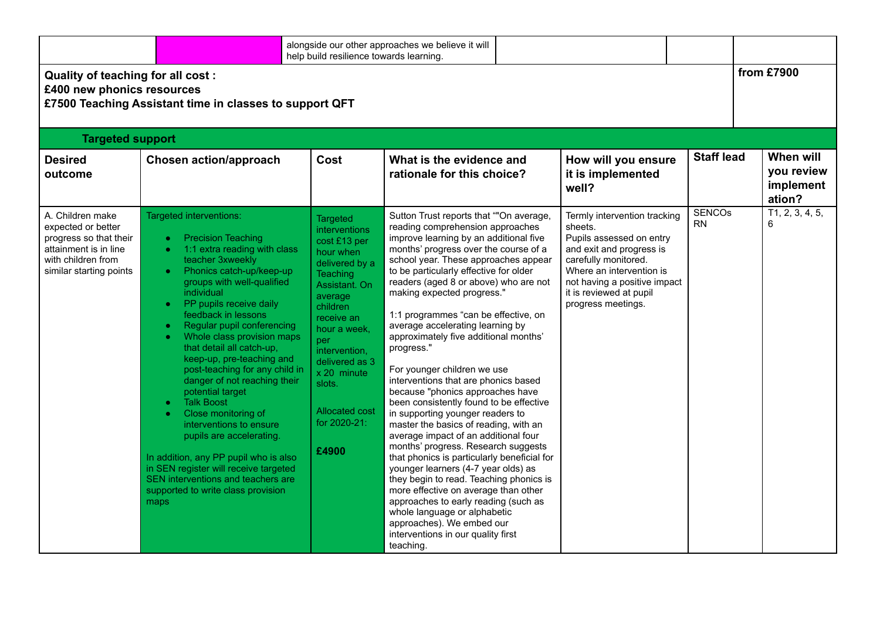|                                                                                                                                            |                                                                                                                                                                                                                                                                                                                                                                                                                                                                                                                                                                                                                                                                                                                         | help build resilience towards learning.                                                                                                                                                                                                                                                       | alongside our other approaches we believe it will                                                                                                                                                                                                                                                                                                                                                                                                                                                                                                                                                                                                                                                                                                                                                                                                                                                                                                                                                                                                                                                             |                                                                                                                                                                                                                                      |                            |                                                |  |  |  |
|--------------------------------------------------------------------------------------------------------------------------------------------|-------------------------------------------------------------------------------------------------------------------------------------------------------------------------------------------------------------------------------------------------------------------------------------------------------------------------------------------------------------------------------------------------------------------------------------------------------------------------------------------------------------------------------------------------------------------------------------------------------------------------------------------------------------------------------------------------------------------------|-----------------------------------------------------------------------------------------------------------------------------------------------------------------------------------------------------------------------------------------------------------------------------------------------|---------------------------------------------------------------------------------------------------------------------------------------------------------------------------------------------------------------------------------------------------------------------------------------------------------------------------------------------------------------------------------------------------------------------------------------------------------------------------------------------------------------------------------------------------------------------------------------------------------------------------------------------------------------------------------------------------------------------------------------------------------------------------------------------------------------------------------------------------------------------------------------------------------------------------------------------------------------------------------------------------------------------------------------------------------------------------------------------------------------|--------------------------------------------------------------------------------------------------------------------------------------------------------------------------------------------------------------------------------------|----------------------------|------------------------------------------------|--|--|--|
|                                                                                                                                            | from £7900<br>Quality of teaching for all cost:<br>£400 new phonics resources<br>£7500 Teaching Assistant time in classes to support QFT                                                                                                                                                                                                                                                                                                                                                                                                                                                                                                                                                                                |                                                                                                                                                                                                                                                                                               |                                                                                                                                                                                                                                                                                                                                                                                                                                                                                                                                                                                                                                                                                                                                                                                                                                                                                                                                                                                                                                                                                                               |                                                                                                                                                                                                                                      |                            |                                                |  |  |  |
| <b>Targeted support</b>                                                                                                                    |                                                                                                                                                                                                                                                                                                                                                                                                                                                                                                                                                                                                                                                                                                                         |                                                                                                                                                                                                                                                                                               |                                                                                                                                                                                                                                                                                                                                                                                                                                                                                                                                                                                                                                                                                                                                                                                                                                                                                                                                                                                                                                                                                                               |                                                                                                                                                                                                                                      |                            |                                                |  |  |  |
| <b>Desired</b><br>outcome                                                                                                                  | <b>Chosen action/approach</b>                                                                                                                                                                                                                                                                                                                                                                                                                                                                                                                                                                                                                                                                                           | Cost                                                                                                                                                                                                                                                                                          | What is the evidence and<br>rationale for this choice?                                                                                                                                                                                                                                                                                                                                                                                                                                                                                                                                                                                                                                                                                                                                                                                                                                                                                                                                                                                                                                                        | How will you ensure<br>it is implemented<br>well?                                                                                                                                                                                    | <b>Staff lead</b>          | When will<br>you review<br>implement<br>ation? |  |  |  |
| A. Children make<br>expected or better<br>progress so that their<br>attainment is in line<br>with children from<br>similar starting points | Targeted interventions:<br><b>Precision Teaching</b><br>1:1 extra reading with class<br>teacher 3xweekly<br>Phonics catch-up/keep-up<br>groups with well-qualified<br>individual<br>PP pupils receive daily<br>feedback in lessons<br>Regular pupil conferencing<br>Whole class provision maps<br>that detail all catch-up,<br>keep-up, pre-teaching and<br>post-teaching for any child in<br>danger of not reaching their<br>potential target<br><b>Talk Boost</b><br>Close monitoring of<br>interventions to ensure<br>pupils are accelerating.<br>In addition, any PP pupil who is also<br>in SEN register will receive targeted<br>SEN interventions and teachers are<br>supported to write class provision<br>maps | <b>Targeted</b><br>interventions<br>cost £13 per<br>hour when<br>delivered by a<br><b>Teaching</b><br>Assistant, On<br>average<br>children<br>receive an<br>hour a week.<br>per<br>intervention,<br>delivered as 3<br>x 20 minute<br>slots.<br><b>Allocated cost</b><br>for 2020-21:<br>£4900 | Sutton Trust reports that ""On average,<br>reading comprehension approaches<br>improve learning by an additional five<br>months' progress over the course of a<br>school year. These approaches appear<br>to be particularly effective for older<br>readers (aged 8 or above) who are not<br>making expected progress."<br>1:1 programmes "can be effective, on<br>average accelerating learning by<br>approximately five additional months'<br>progress."<br>For younger children we use<br>interventions that are phonics based<br>because "phonics approaches have<br>been consistently found to be effective<br>in supporting younger readers to<br>master the basics of reading, with an<br>average impact of an additional four<br>months' progress. Research suggests<br>that phonics is particularly beneficial for<br>younger learners (4-7 year olds) as<br>they begin to read. Teaching phonics is<br>more effective on average than other<br>approaches to early reading (such as<br>whole language or alphabetic<br>approaches). We embed our<br>interventions in our quality first<br>teaching. | Termly intervention tracking<br>sheets.<br>Pupils assessed on entry<br>and exit and progress is<br>carefully monitored.<br>Where an intervention is<br>not having a positive impact<br>it is reviewed at pupil<br>progress meetings. | <b>SENCOS</b><br><b>RN</b> | T1, 2, 3, 4, 5,<br>6                           |  |  |  |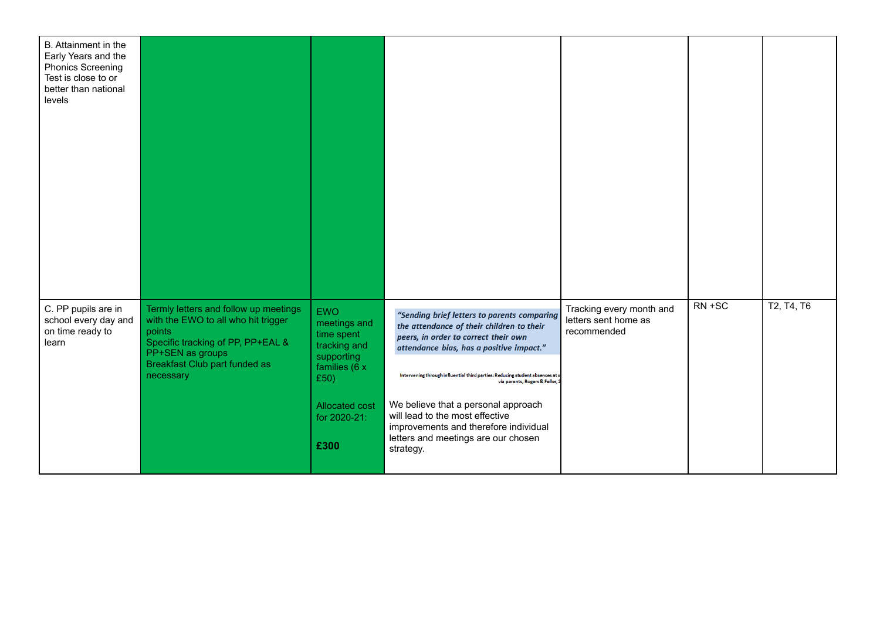| B. Attainment in the<br>Early Years and the<br><b>Phonics Screening</b><br>Test is close to or<br>better than national<br>levels |                                                                                                                                                                                               |                                                                                                                                           |                                                                                                                                                                                                                                                                                                                                                                                                                                                             |                                                                 |        |            |
|----------------------------------------------------------------------------------------------------------------------------------|-----------------------------------------------------------------------------------------------------------------------------------------------------------------------------------------------|-------------------------------------------------------------------------------------------------------------------------------------------|-------------------------------------------------------------------------------------------------------------------------------------------------------------------------------------------------------------------------------------------------------------------------------------------------------------------------------------------------------------------------------------------------------------------------------------------------------------|-----------------------------------------------------------------|--------|------------|
| C. PP pupils are in<br>school every day and<br>on time ready to<br>learn                                                         | Termly letters and follow up meetings<br>with the EWO to all who hit trigger<br>points<br>Specific tracking of PP, PP+EAL &<br>PP+SEN as groups<br>Breakfast Club part funded as<br>necessary | <b>EWO</b><br>meetings and<br>time spent<br>tracking and<br>supporting<br>families (6 x<br>£50)<br>Allocated cost<br>for 2020-21:<br>£300 | "Sending brief letters to parents comparing<br>the attendance of their children to their<br>peers, in order to correct their own<br>attendance bias, has a positive impact."<br>Intervening through influential third parties: Reducing student absences at so<br>via parents, Rogers & Feller, 2<br>We believe that a personal approach<br>will lead to the most effective<br>improvements and therefore individual<br>letters and meetings are our chosen | Tracking every month and<br>letters sent home as<br>recommended | RN +SC | T2, T4, T6 |
|                                                                                                                                  |                                                                                                                                                                                               |                                                                                                                                           | strategy.                                                                                                                                                                                                                                                                                                                                                                                                                                                   |                                                                 |        |            |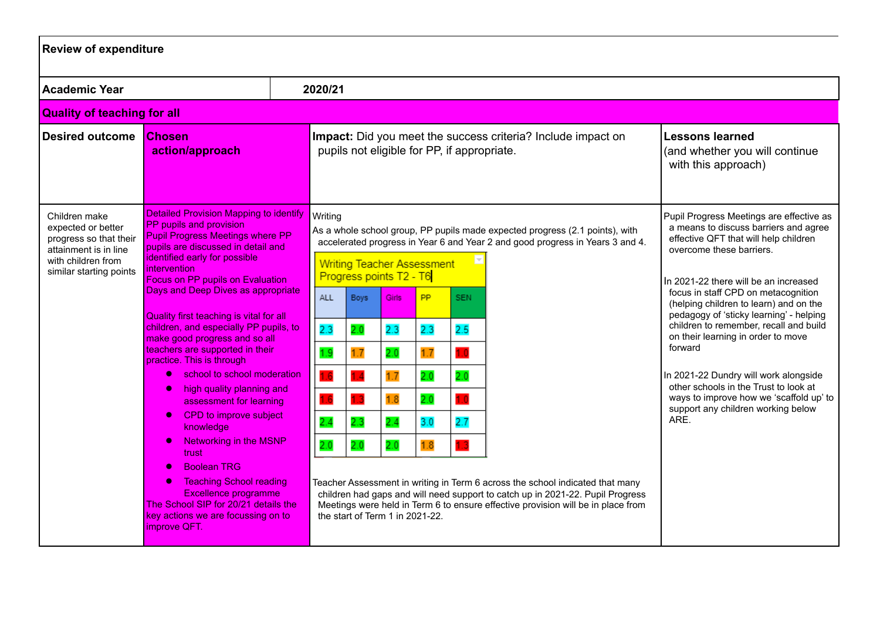| <b>Review of expenditure</b>                                                                                                            |                                                                                                                                                                                                                                                                                                                                                                                                                                                                                                                                                                                                                                                                                                                                                                                                                                                                                                    |  |                                                                                                             |                                                |                                                                                                                                                     |                                                     |                                               |                                                                                                                                                                                                                                                                                                                                                                                                                      |  |                                                                                                                                                                                                                                                                                                                                                                                                                                                                                                                                                                                                   |
|-----------------------------------------------------------------------------------------------------------------------------------------|----------------------------------------------------------------------------------------------------------------------------------------------------------------------------------------------------------------------------------------------------------------------------------------------------------------------------------------------------------------------------------------------------------------------------------------------------------------------------------------------------------------------------------------------------------------------------------------------------------------------------------------------------------------------------------------------------------------------------------------------------------------------------------------------------------------------------------------------------------------------------------------------------|--|-------------------------------------------------------------------------------------------------------------|------------------------------------------------|-----------------------------------------------------------------------------------------------------------------------------------------------------|-----------------------------------------------------|-----------------------------------------------|----------------------------------------------------------------------------------------------------------------------------------------------------------------------------------------------------------------------------------------------------------------------------------------------------------------------------------------------------------------------------------------------------------------------|--|---------------------------------------------------------------------------------------------------------------------------------------------------------------------------------------------------------------------------------------------------------------------------------------------------------------------------------------------------------------------------------------------------------------------------------------------------------------------------------------------------------------------------------------------------------------------------------------------------|
| <b>Academic Year</b>                                                                                                                    |                                                                                                                                                                                                                                                                                                                                                                                                                                                                                                                                                                                                                                                                                                                                                                                                                                                                                                    |  | 2020/21                                                                                                     |                                                |                                                                                                                                                     |                                                     |                                               |                                                                                                                                                                                                                                                                                                                                                                                                                      |  |                                                                                                                                                                                                                                                                                                                                                                                                                                                                                                                                                                                                   |
| <b>Quality of teaching for all</b>                                                                                                      |                                                                                                                                                                                                                                                                                                                                                                                                                                                                                                                                                                                                                                                                                                                                                                                                                                                                                                    |  |                                                                                                             |                                                |                                                                                                                                                     |                                                     |                                               |                                                                                                                                                                                                                                                                                                                                                                                                                      |  |                                                                                                                                                                                                                                                                                                                                                                                                                                                                                                                                                                                                   |
| <b>Desired outcome</b><br><b>Chosen</b><br>action/approach                                                                              |                                                                                                                                                                                                                                                                                                                                                                                                                                                                                                                                                                                                                                                                                                                                                                                                                                                                                                    |  | Impact: Did you meet the success criteria? Include impact on<br>pupils not eligible for PP, if appropriate. |                                                |                                                                                                                                                     |                                                     |                                               |                                                                                                                                                                                                                                                                                                                                                                                                                      |  | <b>Lessons learned</b><br>(and whether you will continue<br>with this approach)                                                                                                                                                                                                                                                                                                                                                                                                                                                                                                                   |
| Children make<br>expected or better<br>progress so that their<br>attainment is in line<br>with children from<br>similar starting points | <b>Detailed Provision Mapping to identify</b><br>PP pupils and provision<br><b>Pupil Progress Meetings where PP</b><br>pupils are discussed in detail and<br>identified early for possible<br>intervention<br><b>Focus on PP pupils on Evaluation</b><br>Days and Deep Dives as appropriate<br>Quality first teaching is vital for all<br>children, and especially PP pupils, to<br>make good progress and so all<br>teachers are supported in their<br>practice. This is through<br>school to school moderation<br>high quality planning and<br>assessment for learning<br>CPD to improve subject<br>$\bullet$<br>knowledge<br><b>Networking in the MSNP</b><br>$\bullet$<br>trust<br><b>Boolean TRG</b><br>$\bullet$<br><b>Teaching School reading</b><br>$\bullet$<br><b>Excellence programme</b><br>The School SIP for 20/21 details the<br>key actions we are focussing on to<br>improve QFT. |  | Writing<br>ALL<br>2.3<br>1.9<br>1.6<br>1.6<br>2.4<br>2.0                                                    | Boys<br>2.0<br>1.7<br>1.4<br>1.3<br>2.3<br>2.0 | <b>Writing Teacher Assessment</b><br>Progress points T2 - T6<br>Girls:<br>2.3<br>2.0<br>1.7<br>1.8<br>2.4<br>2.0<br>the start of Term 1 in 2021-22. | <b>PP</b><br>2.3<br>1.7<br>2.0<br>2.0<br>3.0<br>1.8 | SEN.<br>2.5<br>1.0<br>2.0<br>10<br>2.7<br>1.3 | As a whole school group, PP pupils made expected progress (2.1 points), with<br>accelerated progress in Year 6 and Year 2 and good progress in Years 3 and 4.<br>Teacher Assessment in writing in Term 6 across the school indicated that many<br>children had gaps and will need support to catch up in 2021-22. Pupil Progress<br>Meetings were held in Term 6 to ensure effective provision will be in place from |  | Pupil Progress Meetings are effective as<br>a means to discuss barriers and agree<br>effective QFT that will help children<br>overcome these barriers.<br>In 2021-22 there will be an increased<br>focus in staff CPD on metacognition<br>(helping children to learn) and on the<br>pedagogy of 'sticky learning' - helping<br>children to remember, recall and build<br>on their learning in order to move<br>forward<br>In 2021-22 Dundry will work alongside<br>other schools in the Trust to look at<br>ways to improve how we 'scaffold up' to<br>support any children working below<br>ARE. |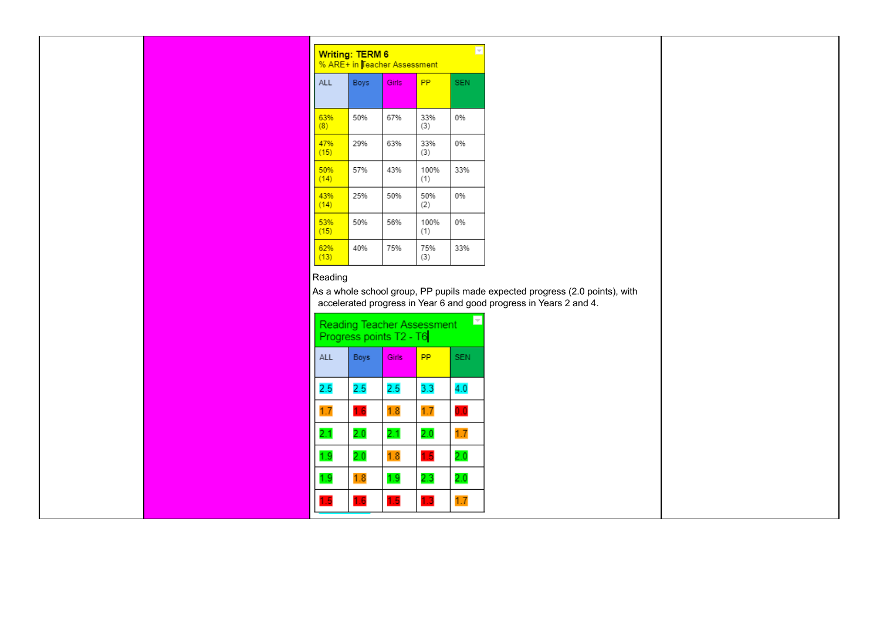| lv<br>Writing: TERM 6<br>% ARE+ in Teacher Assessment |             |              |             |            |  |  |  |  |
|-------------------------------------------------------|-------------|--------------|-------------|------------|--|--|--|--|
| <b>ALL</b>                                            | <b>Boys</b> | <b>Girls</b> | <b>PP</b>   | <b>SEN</b> |  |  |  |  |
| 63%<br>(8)                                            | 50%         | 67%          | 33%<br>(3)  | 0%         |  |  |  |  |
| 47%<br>(15)                                           | 29%         | 63%          | 33%<br>(3)  | 0%         |  |  |  |  |
| 50%<br>(14)                                           | 57%         | 43%          | 100%<br>(1) | 33%        |  |  |  |  |
| 43%<br>(14)                                           | 25%         | 50%          | 50%<br>(2)  | 0%         |  |  |  |  |
| 53%<br>(15)                                           | 50%         | 56%          | 100%<br>(1) | 0%         |  |  |  |  |
| 62%<br>(13)                                           | 40%         | 75%          | 75%<br>(3)  | 33%        |  |  |  |  |

## Reading

As a whole school group, PP pupils made expected progress (2.0 points), with accelerated progress in Year 6 and good progress in Years 2 and 4.

| <b>Reading Teacher Assessment</b><br>Progress points T2 - T6 |      |       |     |            |  |  |
|--------------------------------------------------------------|------|-------|-----|------------|--|--|
| <b>ALL</b>                                                   | Boys | Girls | PP  | <b>SEN</b> |  |  |
| 2.5                                                          | 2.5  | 2.5   | 3.3 | 4.0        |  |  |
| 1.7                                                          | 1.6  | 1.8   | 1.7 | 0.0        |  |  |
| 2.1                                                          | 2.0  | 2.1   | 2.0 | 1.7        |  |  |
| 1.9                                                          | 2.0  | 1.8   | 1.5 | 2.0        |  |  |
| 1.9                                                          | 1.8  | 1.9   | 2.3 | $_{2.0}$   |  |  |
| 1.5                                                          | 1.6  | 1.5   | 1.3 | 1.7        |  |  |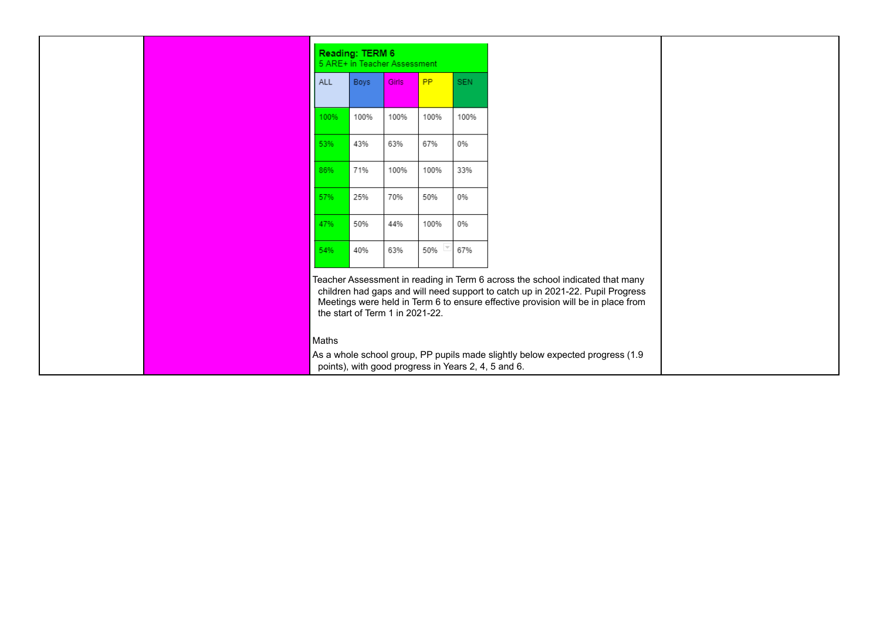|       | Reading: TERM 6 | 5 ARE+ in Teacher Assessment                                                                                                                                                                                                                                                           |           |            |
|-------|-----------------|----------------------------------------------------------------------------------------------------------------------------------------------------------------------------------------------------------------------------------------------------------------------------------------|-----------|------------|
| ALL   | <b>Boys</b>     | Girls                                                                                                                                                                                                                                                                                  | <b>PP</b> | <b>SEN</b> |
| 100%  | 100%            | 100%                                                                                                                                                                                                                                                                                   | 100%      | 100%       |
| 53%   | 43%             | 63%                                                                                                                                                                                                                                                                                    | 67%       | 0%         |
| 86%   | 71%             | 100%                                                                                                                                                                                                                                                                                   | 100%      | 33%        |
| 57%   | 25%             | 70%                                                                                                                                                                                                                                                                                    | 50%       | 0%         |
| 47%   | 50%             | 44%                                                                                                                                                                                                                                                                                    | 100%      | 0%         |
| 54%   | 40%             | 63%                                                                                                                                                                                                                                                                                    | 50%       | 67%        |
|       |                 | Teacher Assessment in reading in Term 6 across the school indicated that many<br>children had gaps and will need support to catch up in 2021-22. Pupil Progress<br>Meetings were held in Term 6 to ensure effective provision will be in place from<br>the start of Term 1 in 2021-22. |           |            |
| Maths |                 | As a whole school group, PP pupils made slightly below expected progress (1.9<br>points), with good progress in Years 2, 4, 5 and 6.                                                                                                                                                   |           |            |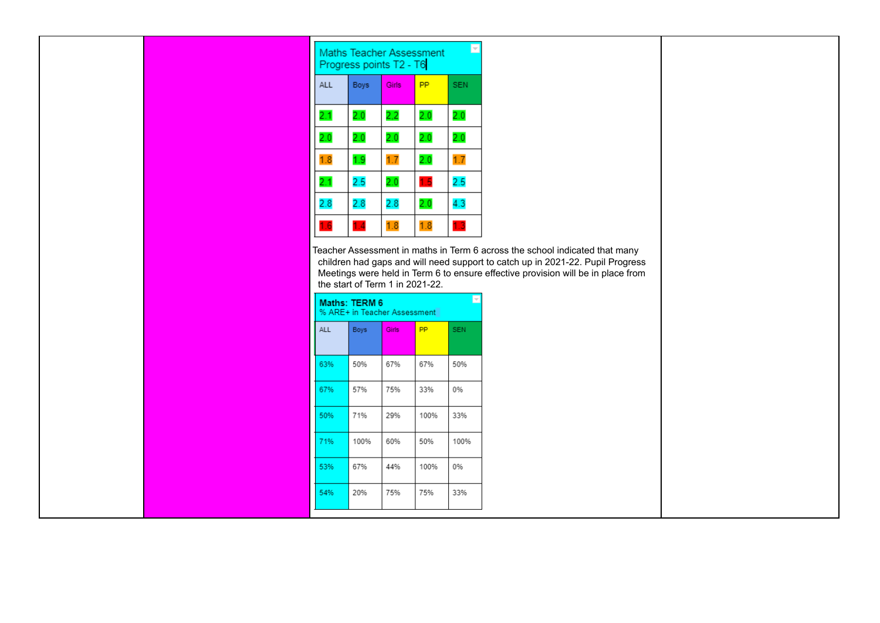| $\overline{\phantom{a}}$<br>Maths Teacher Assessment<br>Progress points T2 - T6 |             |       |     |            |  |  |
|---------------------------------------------------------------------------------|-------------|-------|-----|------------|--|--|
| <b>ALL</b>                                                                      | <b>Boys</b> | Girls | PP  | <b>SEN</b> |  |  |
| 2.1                                                                             | 2.0         | 2,2   | 2.0 | 2.0        |  |  |
| 2.0                                                                             | 2.0         | 2.0   | 2.0 | 2.0        |  |  |
| 1.8                                                                             | 1.9         | 1.7   | 2.0 | 1.7        |  |  |
| 2.1                                                                             | 2.5         | 2.0   | 1.5 | 2.5        |  |  |
| 2.8                                                                             | 2.8         | 2.8   | 2.0 | 4.3        |  |  |
| 16                                                                              | 1.4         | 1.8   | 1.8 | 1.3        |  |  |

Teacher Assessment in maths in Term 6 across the school indicated that many children had gaps and will need support to catch up in 2021-22. Pupil Progress Meetings were held in Term 6 to ensure effective provision will be in place from the start of Term 1 in 2021-22.

| H<br>Maths: TERM 6<br>% ARE+ in Teacher Assessment |             |       |      |            |  |  |
|----------------------------------------------------|-------------|-------|------|------------|--|--|
| <b>ALL</b>                                         | <b>Boys</b> | Girls | PP   | <b>SEN</b> |  |  |
| 63%                                                | 50%         | 67%   | 67%  | 50%        |  |  |
| 67%                                                | 57%         | 75%   | 33%  | 0%         |  |  |
| 50%                                                | 71%         | 29%   | 100% | 33%        |  |  |
| 71%                                                | 100%        | 60%   | 50%  | 100%       |  |  |
| 53%                                                | 67%         | 44%   | 100% | 0%         |  |  |
| 54%                                                | 20%         | 75%   | 75%  | 33%        |  |  |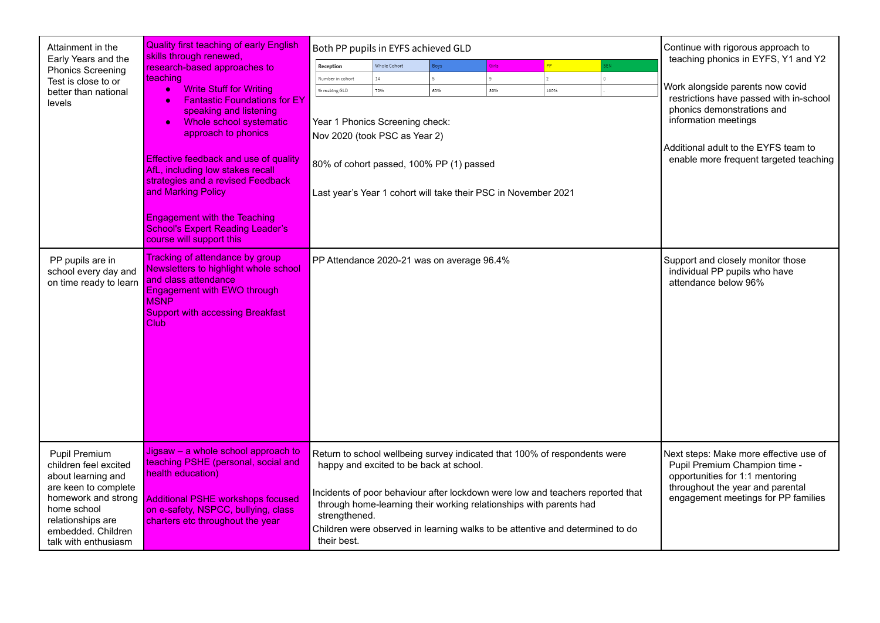| Attainment in the                                                                                                                                                                             | <b>Quality first teaching of early English</b>                                                                                                                                                                                                                                                                                                                                                                                                                                               | Both PP pupils in EYFS achieved GLD                                                                               |                               |                                                                                                                                                                                                                                                                                                                                                               |                                |      |  | Continue with rigorous approach to                                                                                                                                                                                                                         |
|-----------------------------------------------------------------------------------------------------------------------------------------------------------------------------------------------|----------------------------------------------------------------------------------------------------------------------------------------------------------------------------------------------------------------------------------------------------------------------------------------------------------------------------------------------------------------------------------------------------------------------------------------------------------------------------------------------|-------------------------------------------------------------------------------------------------------------------|-------------------------------|---------------------------------------------------------------------------------------------------------------------------------------------------------------------------------------------------------------------------------------------------------------------------------------------------------------------------------------------------------------|--------------------------------|------|--|------------------------------------------------------------------------------------------------------------------------------------------------------------------------------------------------------------------------------------------------------------|
| Early Years and the<br><b>Phonics Screening</b><br>Test is close to or<br>better than national<br>levels                                                                                      | skills through renewed,<br>research-based approaches to<br><u>I</u> teaching<br><b>Write Stuff for Writing</b><br>$\bullet$<br><b>Fantastic Foundations for EY</b><br>speaking and listening<br>Whole school systematic<br>$\bullet$<br>approach to phonics<br><b>Effective feedback and use of quality</b><br>AfL, including low stakes recall<br>strategies and a revised Feedback<br>and Marking Policy<br><b>Engagement with the Teaching</b><br><b>School's Expert Reading Leader's</b> | Reception<br>Number in cohort<br>% making GLD<br>Year 1 Phonics Screening check:<br>Nov 2020 (took PSC as Year 2) | Whole Cohort<br>$14\,$<br>79% | Boys<br>60%<br>80% of cohort passed, 100% PP (1) passed<br>Last year's Year 1 cohort will take their PSC in November 2021                                                                                                                                                                                                                                     | Girls<br>$\mathfrak{g}$<br>89% | 100% |  | teaching phonics in EYFS, Y1 and Y2<br>Work alongside parents now covid<br>restrictions have passed with in-school<br>phonics demonstrations and<br>information meetings<br>Additional adult to the EYFS team to<br>enable more frequent targeted teaching |
| PP pupils are in<br>school every day and<br>on time ready to learn                                                                                                                            | course will support this<br>Tracking of attendance by group<br>Newsletters to highlight whole school<br>and class attendance<br><b>Engagement with EWO through</b><br><b>MSNP</b><br><b>Support with accessing Breakfast</b><br>Club                                                                                                                                                                                                                                                         |                                                                                                                   |                               | PP Attendance 2020-21 was on average 96.4%                                                                                                                                                                                                                                                                                                                    |                                |      |  | Support and closely monitor those<br>individual PP pupils who have<br>attendance below 96%                                                                                                                                                                 |
| Pupil Premium<br>children feel excited<br>about learning and<br>are keen to complete<br>homework and strong<br>home school<br>relationships are<br>embedded. Children<br>talk with enthusiasm | Jigsaw – a whole school approach to<br>teaching PSHE (personal, social and<br>health education)<br>Additional PSHE workshops focused<br>on e-safety, NSPCC, bullying, class<br>charters etc throughout the year                                                                                                                                                                                                                                                                              | strengthened.<br>their best.                                                                                      |                               | Return to school wellbeing survey indicated that 100% of respondents were<br>happy and excited to be back at school.<br>Incidents of poor behaviour after lockdown were low and teachers reported that<br>through home-learning their working relationships with parents had<br>Children were observed in learning walks to be attentive and determined to do |                                |      |  | Next steps: Make more effective use of<br>Pupil Premium Champion time -<br>opportunities for 1:1 mentoring<br>throughout the year and parental<br>engagement meetings for PP families                                                                      |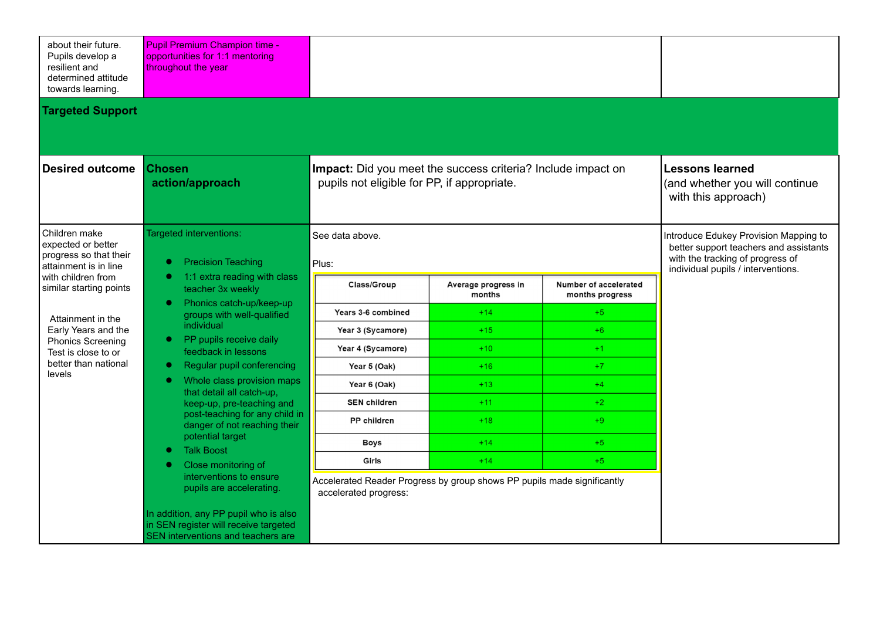| about their future.<br>Pupils develop a<br>resilient and<br>determined attitude<br>towards learning. | <b>Pupil Premium Champion time -</b><br>opportunities for 1:1 mentoring<br>throughout the year                       |                                                                                                             |             |                               |                                                                                                                                                           |  |
|------------------------------------------------------------------------------------------------------|----------------------------------------------------------------------------------------------------------------------|-------------------------------------------------------------------------------------------------------------|-------------|-------------------------------|-----------------------------------------------------------------------------------------------------------------------------------------------------------|--|
| <b>Targeted Support</b>                                                                              |                                                                                                                      |                                                                                                             |             |                               |                                                                                                                                                           |  |
| <b>Desired outcome</b>                                                                               | <b>Chosen</b><br>action/approach                                                                                     | Impact: Did you meet the success criteria? Include impact on<br>pupils not eligible for PP, if appropriate. |             |                               | <b>Lessons learned</b><br>(and whether you will continue<br>with this approach)                                                                           |  |
| Children make<br>expected or better<br>progress so that their<br>attainment is in line               | Targeted interventions:<br><b>Precision Teaching</b>                                                                 | See data above.<br>Plus:                                                                                    |             |                               | Introduce Edukey Provision Mapping to<br>better support teachers and assistants<br>with the tracking of progress of<br>individual pupils / interventions. |  |
| with children from<br>similar starting points                                                        | 1:1 extra reading with class<br>G<br>teacher 3x weekly                                                               |                                                                                                             | Class/Group | Average progress in<br>months | Number of accelerated<br>months progress                                                                                                                  |  |
| Attainment in the                                                                                    | Phonics catch-up/keep-up<br>$\bullet$<br>groups with well-qualified                                                  | Years 3-6 combined                                                                                          | $+14$       | $+5$                          |                                                                                                                                                           |  |
| Early Years and the                                                                                  | individual                                                                                                           | Year 3 (Sycamore)                                                                                           | $+15$       | $+6$                          |                                                                                                                                                           |  |
| <b>Phonics Screening</b><br>Test is close to or                                                      | PP pupils receive daily<br>$\bullet$<br>feedback in lessons                                                          | Year 4 (Sycamore)                                                                                           | $+10$       | $+1$                          |                                                                                                                                                           |  |
| better than national<br>levels                                                                       | Regular pupil conferencing<br>$\bullet$                                                                              | Year 5 (Oak)                                                                                                | $+16$       | $+7$                          |                                                                                                                                                           |  |
|                                                                                                      | Whole class provision maps<br>$\bullet$<br>that detail all catch-up,                                                 | Year 6 (Oak)                                                                                                | $+13$       | $+4$                          |                                                                                                                                                           |  |
|                                                                                                      | keep-up, pre-teaching and                                                                                            | <b>SEN children</b>                                                                                         | $+11$       | $+2$                          |                                                                                                                                                           |  |
|                                                                                                      | post-teaching for any child in<br>danger of not reaching their                                                       | <b>PP</b> children                                                                                          | $+18$       | $+9$                          |                                                                                                                                                           |  |
|                                                                                                      | potential target                                                                                                     | <b>Boys</b>                                                                                                 | $+14$       | $+5$                          |                                                                                                                                                           |  |
|                                                                                                      | <b>Talk Boost</b><br>$\bullet$<br>Close monitoring of                                                                | Girls                                                                                                       | $+14$       | $+5$                          |                                                                                                                                                           |  |
|                                                                                                      | interventions to ensure<br>pupils are accelerating.                                                                  | Accelerated Reader Progress by group shows PP pupils made significantly<br>accelerated progress:            |             |                               |                                                                                                                                                           |  |
|                                                                                                      | In addition, any PP pupil who is also<br>in SEN register will receive targeted<br>SEN interventions and teachers are |                                                                                                             |             |                               |                                                                                                                                                           |  |